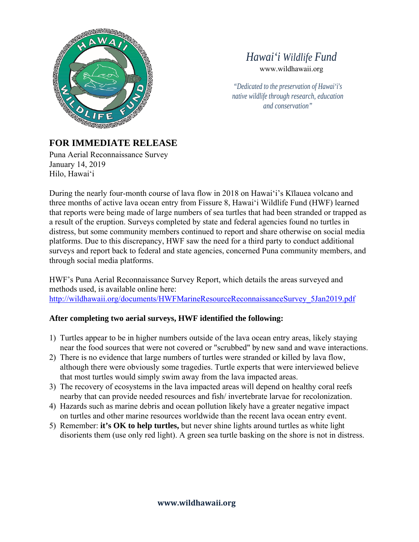

## *Hawai'i Wildlife Fund* www.wildhawaii.org

*"Dedicated to the preservation of Hawai'i's native wildlife through research, education and conservation"*

## **FOR IMMEDIATE RELEASE**

Puna Aerial Reconnaissance Survey January 14, 2019 Hilo, Hawai'i

During the nearly four-month course of lava flow in 2018 on Hawaiʻi's Kīlauea volcano and three months of active lava ocean entry from Fissure 8, Hawaiʻi Wildlife Fund (HWF) learned that reports were being made of large numbers of sea turtles that had been stranded or trapped as a result of the eruption. Surveys completed by state and federal agencies found no turtles in distress, but some community members continued to report and share otherwise on social media platforms. Due to this discrepancy, HWF saw the need for a third party to conduct additional surveys and report back to federal and state agencies, concerned Puna community members, and through social media platforms.

HWF's Puna Aerial Reconnaissance Survey Report, which details the areas surveyed and methods used, is available online here: http://wildhawaii.org/documents/HWFMarineResourceReconnaissanceSurvey\_5Jan2019.pdf

## **After completing two aerial surveys, HWF identified the following:**

- 1) Turtles appear to be in higher numbers outside of the lava ocean entry areas, likely staying near the food sources that were not covered or "scrubbed" by new sand and wave interactions.
- 2) There is no evidence that large numbers of turtles were stranded or killed by lava flow, although there were obviously some tragedies. Turtle experts that were interviewed believe that most turtles would simply swim away from the lava impacted areas.
- 3) The recovery of ecosystems in the lava impacted areas will depend on healthy coral reefs nearby that can provide needed resources and fish/ invertebrate larvae for recolonization.
- 4) Hazards such as marine debris and ocean pollution likely have a greater negative impact on turtles and other marine resources worldwide than the recent lava ocean entry event.
- 5) Remember: **it's OK to help turtles,** but never shine lights around turtles as white light disorients them (use only red light). A green sea turtle basking on the shore is not in distress.